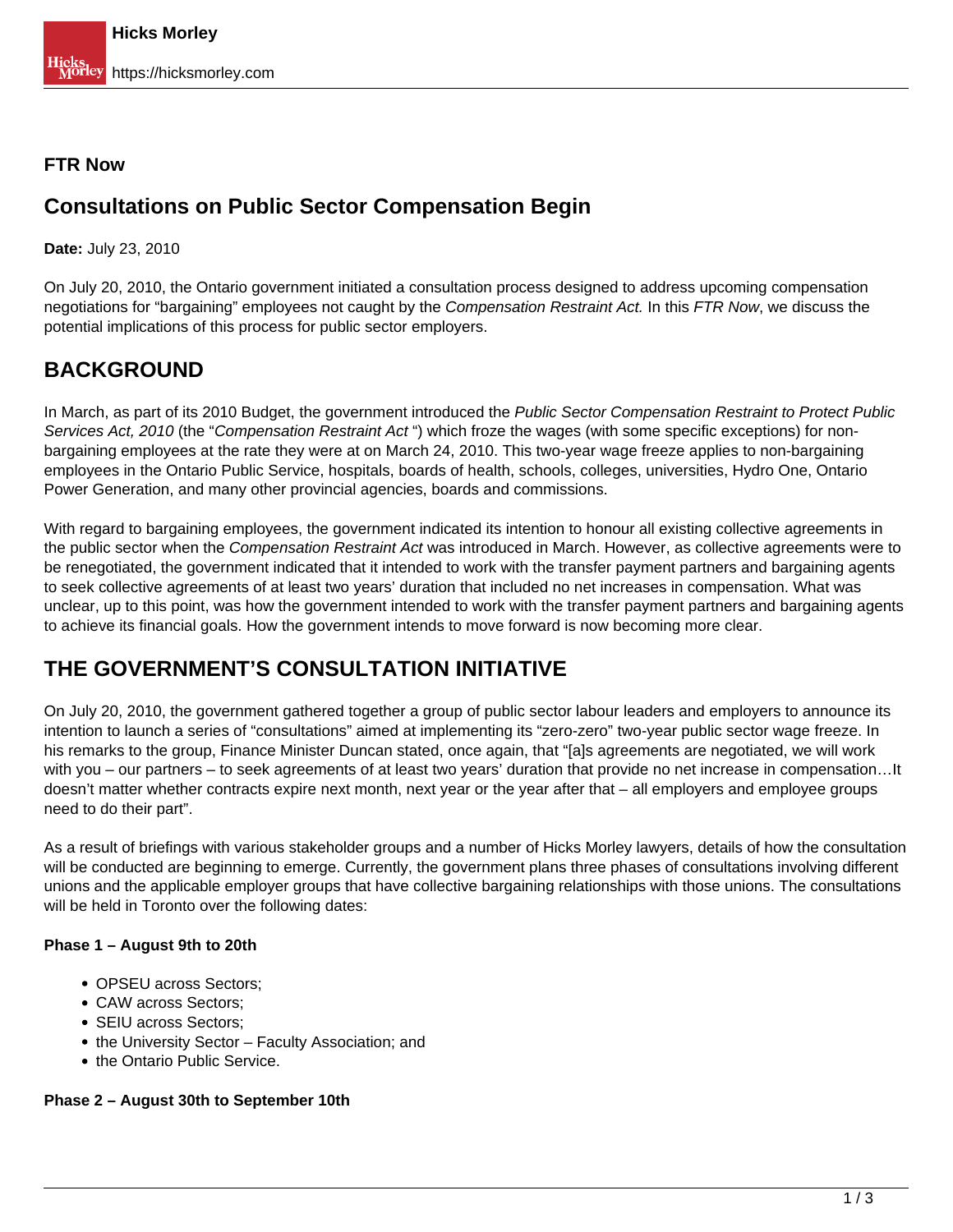## **FTR Now**

# **Consultations on Public Sector Compensation Begin**

**Date:** July 23, 2010

On July 20, 2010, the Ontario government initiated a consultation process designed to address upcoming compensation negotiations for "bargaining" employees not caught by the Compensation Restraint Act. In this FTR Now, we discuss the potential implications of this process for public sector employers.

# **BACKGROUND**

In March, as part of its 2010 Budget, the government introduced the Public Sector Compensation Restraint to Protect Public Services Act, 2010 (the "Compensation Restraint Act") which froze the wages (with some specific exceptions) for nonbargaining employees at the rate they were at on March 24, 2010. This two-year wage freeze applies to non-bargaining employees in the Ontario Public Service, hospitals, boards of health, schools, colleges, universities, Hydro One, Ontario Power Generation, and many other provincial agencies, boards and commissions.

With regard to bargaining employees, the government indicated its intention to honour all existing collective agreements in the public sector when the Compensation Restraint Act was introduced in March. However, as collective agreements were to be renegotiated, the government indicated that it intended to work with the transfer payment partners and bargaining agents to seek collective agreements of at least two years' duration that included no net increases in compensation. What was unclear, up to this point, was how the government intended to work with the transfer payment partners and bargaining agents to achieve its financial goals. How the government intends to move forward is now becoming more clear.

# **THE GOVERNMENT'S CONSULTATION INITIATIVE**

On July 20, 2010, the government gathered together a group of public sector labour leaders and employers to announce its intention to launch a series of "consultations" aimed at implementing its "zero-zero" two-year public sector wage freeze. In his remarks to the group, Finance Minister Duncan stated, once again, that "[a]s agreements are negotiated, we will work with you – our partners – to seek agreements of at least two years' duration that provide no net increase in compensation…It doesn't matter whether contracts expire next month, next year or the year after that – all employers and employee groups need to do their part".

As a result of briefings with various stakeholder groups and a number of Hicks Morley lawyers, details of how the consultation will be conducted are beginning to emerge. Currently, the government plans three phases of consultations involving different unions and the applicable employer groups that have collective bargaining relationships with those unions. The consultations will be held in Toronto over the following dates:

### **Phase 1 – August 9th to 20th**

- OPSEU across Sectors;
- CAW across Sectors:
- SEIU across Sectors:
- the University Sector Faculty Association; and
- the Ontario Public Service.

### **Phase 2 – August 30th to September 10th**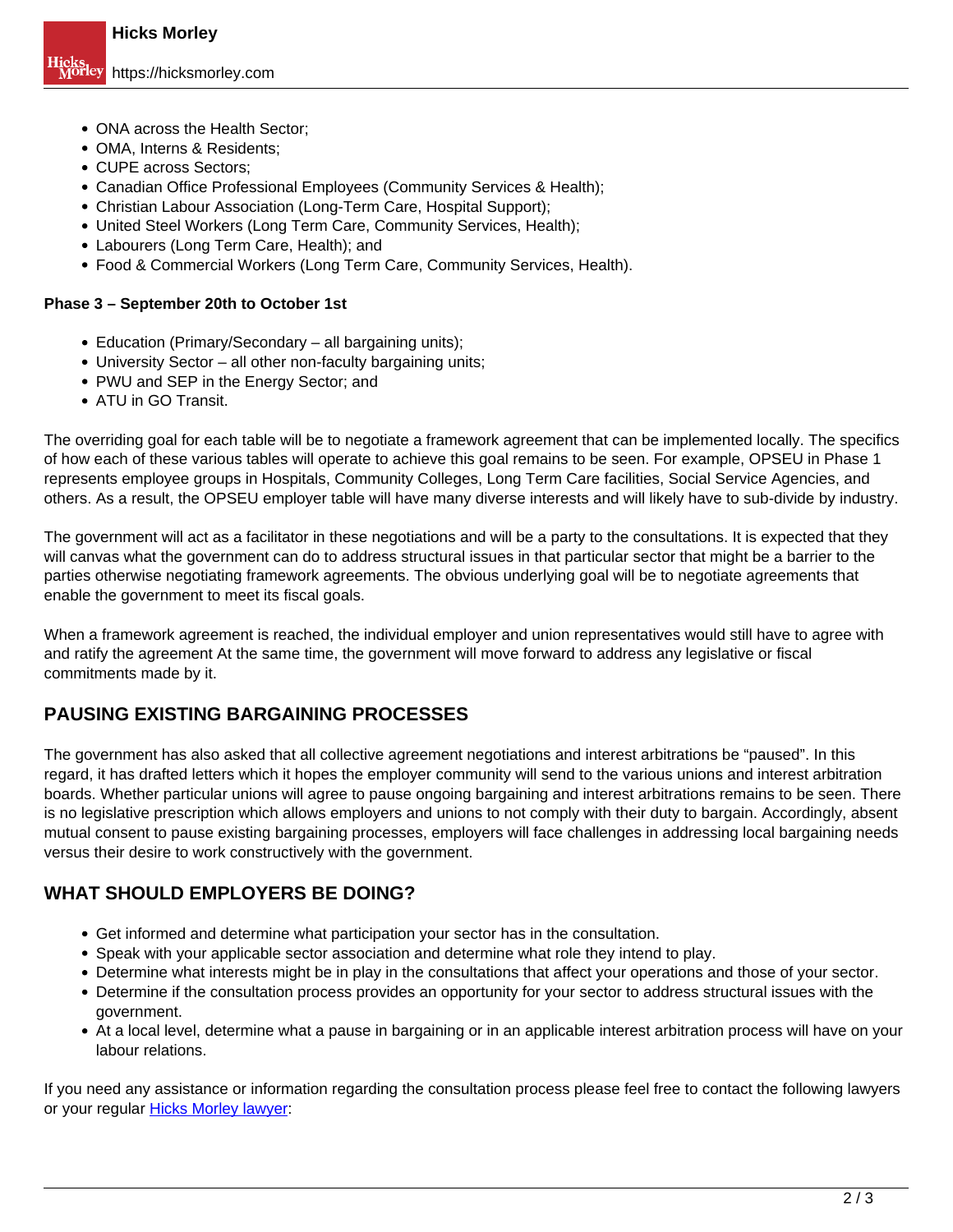- ONA across the Health Sector;
- OMA, Interns & Residents:
- CUPE across Sectors:
- Canadian Office Professional Employees (Community Services & Health);
- Christian Labour Association (Long-Term Care, Hospital Support);
- United Steel Workers (Long Term Care, Community Services, Health);
- Labourers (Long Term Care, Health); and
- Food & Commercial Workers (Long Term Care, Community Services, Health).

#### **Phase 3 – September 20th to October 1st**

- Education (Primary/Secondary all bargaining units);
- University Sector all other non-faculty bargaining units;
- PWU and SEP in the Energy Sector; and
- ATU in GO Transit.

The overriding goal for each table will be to negotiate a framework agreement that can be implemented locally. The specifics of how each of these various tables will operate to achieve this goal remains to be seen. For example, OPSEU in Phase 1 represents employee groups in Hospitals, Community Colleges, Long Term Care facilities, Social Service Agencies, and others. As a result, the OPSEU employer table will have many diverse interests and will likely have to sub-divide by industry.

The government will act as a facilitator in these negotiations and will be a party to the consultations. It is expected that they will canvas what the government can do to address structural issues in that particular sector that might be a barrier to the parties otherwise negotiating framework agreements. The obvious underlying goal will be to negotiate agreements that enable the government to meet its fiscal goals.

When a framework agreement is reached, the individual employer and union representatives would still have to agree with and ratify the agreement At the same time, the government will move forward to address any legislative or fiscal commitments made by it.

## **PAUSING EXISTING BARGAINING PROCESSES**

The government has also asked that all collective agreement negotiations and interest arbitrations be "paused". In this regard, it has drafted letters which it hopes the employer community will send to the various unions and interest arbitration boards. Whether particular unions will agree to pause ongoing bargaining and interest arbitrations remains to be seen. There is no legislative prescription which allows employers and unions to not comply with their duty to bargain. Accordingly, absent mutual consent to pause existing bargaining processes, employers will face challenges in addressing local bargaining needs versus their desire to work constructively with the government.

## **WHAT SHOULD EMPLOYERS BE DOING?**

- Get informed and determine what participation your sector has in the consultation.
- Speak with your applicable sector association and determine what role they intend to play.
- Determine what interests might be in play in the consultations that affect your operations and those of your sector.
- Determine if the consultation process provides an opportunity for your sector to address structural issues with the government.
- At a local level, determine what a pause in bargaining or in an applicable interest arbitration process will have on your labour relations.

If you need any assistance or information regarding the consultation process please feel free to contact the following lawyers or your regular **Hicks Morley lawyer:**